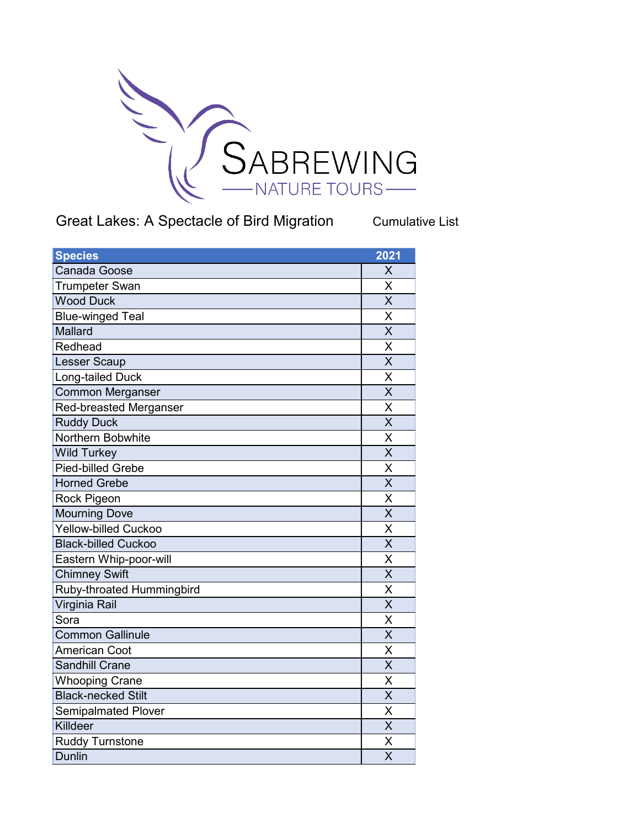

Cumulative List

| <b>Species</b>                | 2021                    |
|-------------------------------|-------------------------|
| <b>Canada Goose</b>           | X                       |
| <b>Trumpeter Swan</b>         | X                       |
| <b>Wood Duck</b>              | $\overline{\mathsf{x}}$ |
| <b>Blue-winged Teal</b>       | $\overline{\mathsf{x}}$ |
| Mallard                       | $\overline{\mathsf{x}}$ |
| Redhead                       | $\overline{\mathsf{x}}$ |
| Lesser Scaup                  | $\overline{\mathsf{x}}$ |
| Long-tailed Duck              | $\overline{\sf x}$      |
| <b>Common Merganser</b>       | $\overline{\mathsf{x}}$ |
| <b>Red-breasted Merganser</b> | X                       |
| <b>Ruddy Duck</b>             | $\overline{\mathsf{x}}$ |
| Northern Bobwhite             | $\overline{\mathsf{x}}$ |
| <b>Wild Turkey</b>            | $\overline{\mathsf{x}}$ |
| <b>Pied-billed Grebe</b>      | X                       |
| <b>Horned Grebe</b>           | $\overline{\sf x}$      |
| Rock Pigeon                   | $\overline{\mathsf{x}}$ |
| <b>Mourning Dove</b>          | $\overline{\mathsf{x}}$ |
| Yellow-billed Cuckoo          | X                       |
| <b>Black-billed Cuckoo</b>    | $\overline{\mathsf{x}}$ |
| Eastern Whip-poor-will        | $\overline{\mathsf{x}}$ |
| <b>Chimney Swift</b>          | $\sf X$                 |
| Ruby-throated Hummingbird     | $\overline{\sf x}$      |
| Virginia Rail                 | $\overline{\mathsf{x}}$ |
| Sora                          | X                       |
| <b>Common Gallinule</b>       | $\overline{\mathsf{x}}$ |
| <b>American Coot</b>          | $\overline{\mathsf{x}}$ |
| <b>Sandhill Crane</b>         | $\overline{\mathsf{x}}$ |
| <b>Whooping Crane</b>         | $\overline{\mathsf{x}}$ |
| <b>Black-necked Stilt</b>     | X                       |
| <b>Semipalmated Plover</b>    | $\overline{\sf x}$      |
| Killdeer                      | $\overline{\mathsf{x}}$ |
| <b>Ruddy Turnstone</b>        | X                       |
| Dunlin                        | $\overline{\mathsf{x}}$ |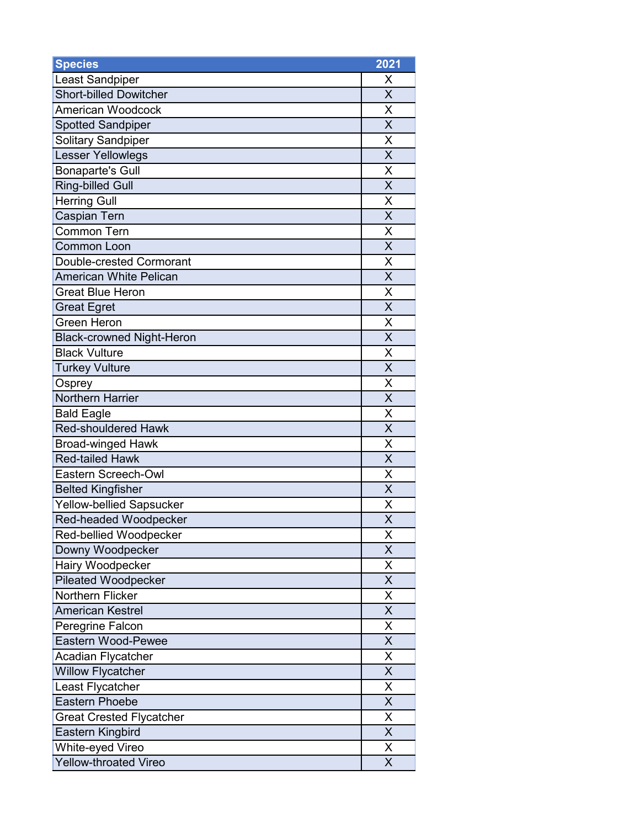| <b>Species</b>                   | 2021                    |
|----------------------------------|-------------------------|
| Least Sandpiper                  | X                       |
| <b>Short-billed Dowitcher</b>    | X                       |
| <b>American Woodcock</b>         | X                       |
| <b>Spotted Sandpiper</b>         | X                       |
| <b>Solitary Sandpiper</b>        | X                       |
| Lesser Yellowlegs                | X                       |
| <b>Bonaparte's Gull</b>          | X                       |
| <b>Ring-billed Gull</b>          | $\overline{\mathsf{x}}$ |
| <b>Herring Gull</b>              | Χ                       |
| Caspian Tern                     | X                       |
| <b>Common Tern</b>               | X                       |
| <b>Common Loon</b>               | $\overline{\mathsf{x}}$ |
| <b>Double-crested Cormorant</b>  | X                       |
| <b>American White Pelican</b>    | $\sf X$                 |
| <b>Great Blue Heron</b>          | $\overline{\mathsf{x}}$ |
| <b>Great Egret</b>               | X                       |
| <b>Green Heron</b>               | X                       |
| <b>Black-crowned Night-Heron</b> | X                       |
| <b>Black Vulture</b>             | X                       |
| <b>Turkey Vulture</b>            | $\overline{\mathsf{x}}$ |
| Osprey                           | X                       |
| <b>Northern Harrier</b>          | $\overline{\mathsf{x}}$ |
| <b>Bald Eagle</b>                | Χ                       |
| <b>Red-shouldered Hawk</b>       | $\overline{\mathsf{x}}$ |
| <b>Broad-winged Hawk</b>         | X                       |
| <b>Red-tailed Hawk</b>           | $\sf X$                 |
| Eastern Screech-Owl              | X                       |
| <b>Belted Kingfisher</b>         | X                       |
| <b>Yellow-bellied Sapsucker</b>  | Χ                       |
| Red-headed Woodpecker            | $\overline{\mathsf{x}}$ |
| Red-bellied Woodpecker           | Χ                       |
| Downy Woodpecker                 | X                       |
| Hairy Woodpecker                 | Χ                       |
| <b>Pileated Woodpecker</b>       | $\overline{\mathsf{x}}$ |
| <b>Northern Flicker</b>          | Χ                       |
| <b>American Kestrel</b>          | X                       |
| Peregrine Falcon                 | X                       |
| <b>Eastern Wood-Pewee</b>        | $\overline{\mathsf{x}}$ |
| Acadian Flycatcher               | Χ                       |
| <b>Willow Flycatcher</b>         | X                       |
| Least Flycatcher                 | $\overline{\mathsf{x}}$ |
| <b>Eastern Phoebe</b>            | X                       |
| <b>Great Crested Flycatcher</b>  | X                       |
| Eastern Kingbird                 | X                       |
| White-eyed Vireo                 | Χ                       |
| <b>Yellow-throated Vireo</b>     | $\overline{\mathsf{x}}$ |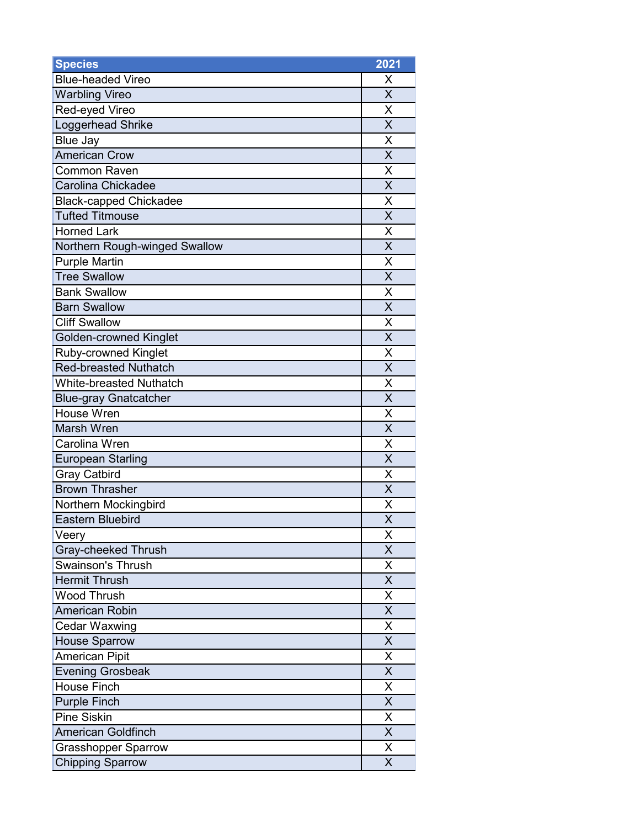| <b>Species</b>                 | 2021                    |
|--------------------------------|-------------------------|
| <b>Blue-headed Vireo</b>       | X                       |
| <b>Warbling Vireo</b>          | X                       |
| Red-eyed Vireo                 | X                       |
| Loggerhead Shrike              | X                       |
| <b>Blue Jay</b>                | X                       |
| <b>American Crow</b>           | $\overline{\mathsf{X}}$ |
| <b>Common Raven</b>            | X                       |
| Carolina Chickadee             | $\overline{\mathsf{x}}$ |
| <b>Black-capped Chickadee</b>  | X                       |
| <b>Tufted Titmouse</b>         | X                       |
| <b>Horned Lark</b>             | X                       |
| Northern Rough-winged Swallow  | $\overline{\mathsf{x}}$ |
| <b>Purple Martin</b>           | X                       |
| <b>Tree Swallow</b>            | $\sf X$                 |
| <b>Bank Swallow</b>            | $\overline{\mathsf{x}}$ |
| <b>Barn Swallow</b>            | X                       |
| <b>Cliff Swallow</b>           | X                       |
| <b>Golden-crowned Kinglet</b>  | X                       |
| <b>Ruby-crowned Kinglet</b>    | X                       |
| <b>Red-breasted Nuthatch</b>   | $\overline{\mathsf{x}}$ |
| <b>White-breasted Nuthatch</b> | X                       |
| <b>Blue-gray Gnatcatcher</b>   | $\overline{\mathsf{x}}$ |
| House Wren                     | Χ                       |
| <b>Marsh Wren</b>              | $\overline{\mathsf{x}}$ |
| Carolina Wren                  | X                       |
| <b>European Starling</b>       | $\sf X$                 |
| Gray Catbird                   | X                       |
| <b>Brown Thrasher</b>          | X                       |
| Northern Mockingbird           | Χ                       |
| <b>Eastern Bluebird</b>        | $\overline{\mathsf{x}}$ |
| Veery                          | Χ                       |
| Gray-cheeked Thrush            | X                       |
| <b>Swainson's Thrush</b>       | X                       |
| <b>Hermit Thrush</b>           | $\overline{\mathsf{x}}$ |
| <b>Wood Thrush</b>             | Χ                       |
| <b>American Robin</b>          | X                       |
| <b>Cedar Waxwing</b>           | X                       |
| <b>House Sparrow</b>           | $\overline{\mathsf{x}}$ |
| <b>American Pipit</b>          | X                       |
| <b>Evening Grosbeak</b>        | X                       |
| <b>House Finch</b>             | $\overline{\mathsf{x}}$ |
| <b>Purple Finch</b>            | X                       |
| <b>Pine Siskin</b>             | X                       |
| <b>American Goldfinch</b>      | X                       |
| <b>Grasshopper Sparrow</b>     | Χ                       |
| <b>Chipping Sparrow</b>        | $\overline{\mathsf{x}}$ |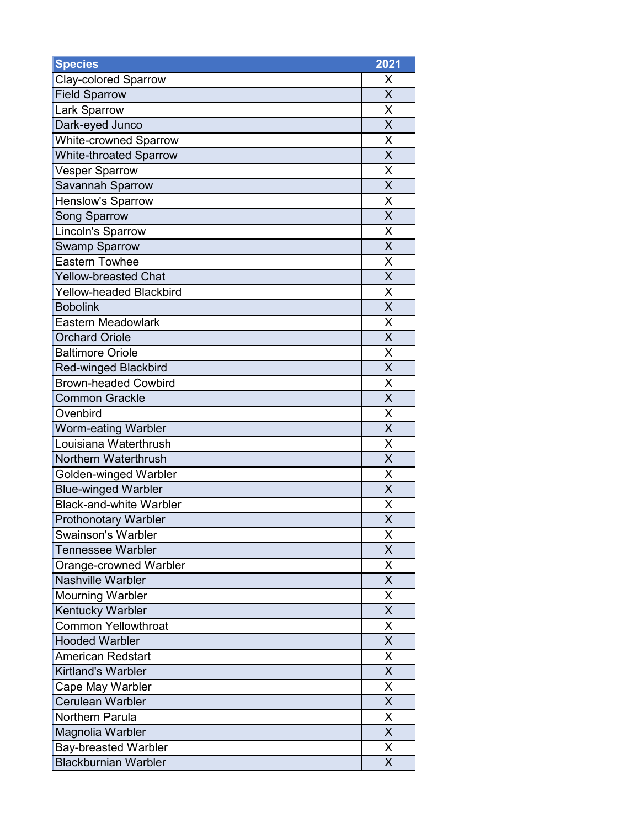| <b>Species</b>                 | 2021                    |
|--------------------------------|-------------------------|
| <b>Clay-colored Sparrow</b>    | Χ                       |
| <b>Field Sparrow</b>           | X                       |
| Lark Sparrow                   | X                       |
| Dark-eyed Junco                | X                       |
| <b>White-crowned Sparrow</b>   | X                       |
| <b>White-throated Sparrow</b>  | X                       |
| <b>Vesper Sparrow</b>          | Χ                       |
| <b>Savannah Sparrow</b>        | $\overline{\mathsf{x}}$ |
| Henslow's Sparrow              | X                       |
| <b>Song Sparrow</b>            | X                       |
| Lincoln's Sparrow              | $\sf X$                 |
| <b>Swamp Sparrow</b>           | $\overline{\mathsf{x}}$ |
| <b>Eastern Towhee</b>          | Χ                       |
| <b>Yellow-breasted Chat</b>    | X                       |
| <b>Yellow-headed Blackbird</b> | $\overline{\mathsf{x}}$ |
| <b>Bobolink</b>                | X                       |
| Eastern Meadowlark             | X                       |
| <b>Orchard Oriole</b>          | X                       |
| <b>Baltimore Oriole</b>        | X                       |
| <b>Red-winged Blackbird</b>    | $\overline{\mathsf{x}}$ |
| <b>Brown-headed Cowbird</b>    | X                       |
| <b>Common Grackle</b>          | $\overline{\mathsf{X}}$ |
| Ovenbird                       | Χ                       |
| <b>Worm-eating Warbler</b>     | $\overline{\mathsf{x}}$ |
| Louisiana Waterthrush          | X                       |
| Northern Waterthrush           | X                       |
| Golden-winged Warbler          | X                       |
| <b>Blue-winged Warbler</b>     | X                       |
| <b>Black-and-white Warbler</b> | X                       |
| <b>Prothonotary Warbler</b>    | X                       |
| <b>Swainson's Warbler</b>      | Χ                       |
| Tennessee Warbler              | X                       |
| Orange-crowned Warbler         | Χ                       |
| Nashville Warbler              | $\overline{\mathsf{x}}$ |
| <b>Mourning Warbler</b>        | Χ                       |
| Kentucky Warbler               | X                       |
| <b>Common Yellowthroat</b>     | X                       |
| <b>Hooded Warbler</b>          | $\overline{\mathsf{x}}$ |
| <b>American Redstart</b>       | X                       |
| Kirtland's Warbler             | X                       |
| Cape May Warbler               | $\overline{\mathsf{x}}$ |
| <b>Cerulean Warbler</b>        | X                       |
| Northern Parula                | X                       |
| Magnolia Warbler               | X                       |
| <b>Bay-breasted Warbler</b>    | Χ                       |
| <b>Blackburnian Warbler</b>    | $\overline{\mathsf{x}}$ |